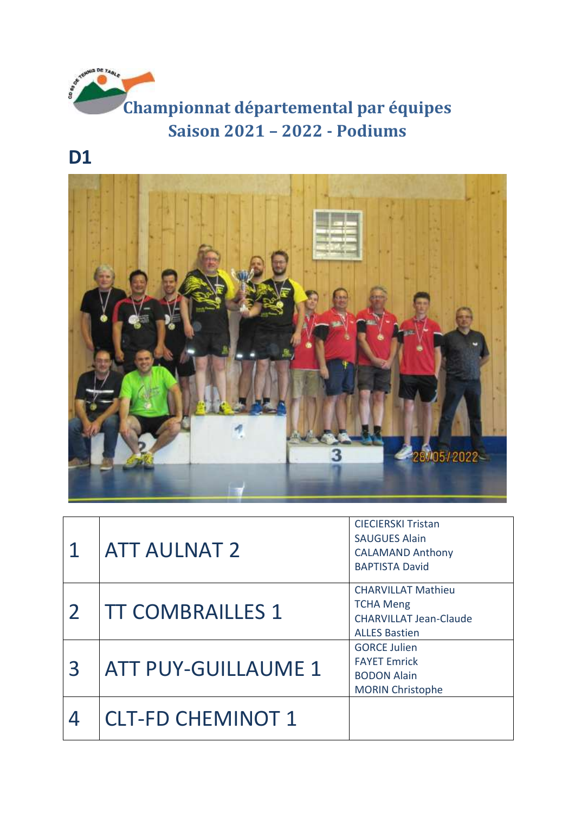

## **D1**



|              | <b>ATT AULNAT 2</b>        | <b>CIECIERSKI Tristan</b><br><b>SAUGUES Alain</b><br><b>CALAMAND Anthony</b><br><b>BAPTISTA David</b>  |
|--------------|----------------------------|--------------------------------------------------------------------------------------------------------|
|              | <b>TT COMBRAILLES 1</b>    | <b>CHARVILLAT Mathieu</b><br><b>TCHA Meng</b><br><b>CHARVILLAT Jean-Claude</b><br><b>ALLES Bastien</b> |
| $\mathbf{R}$ | <b>ATT PUY-GUILLAUME 1</b> | <b>GORCE Julien</b><br><b>FAYET Emrick</b><br><b>BODON Alain</b><br><b>MORIN Christophe</b>            |
|              | <b>CLT-FD CHEMINOT 1</b>   |                                                                                                        |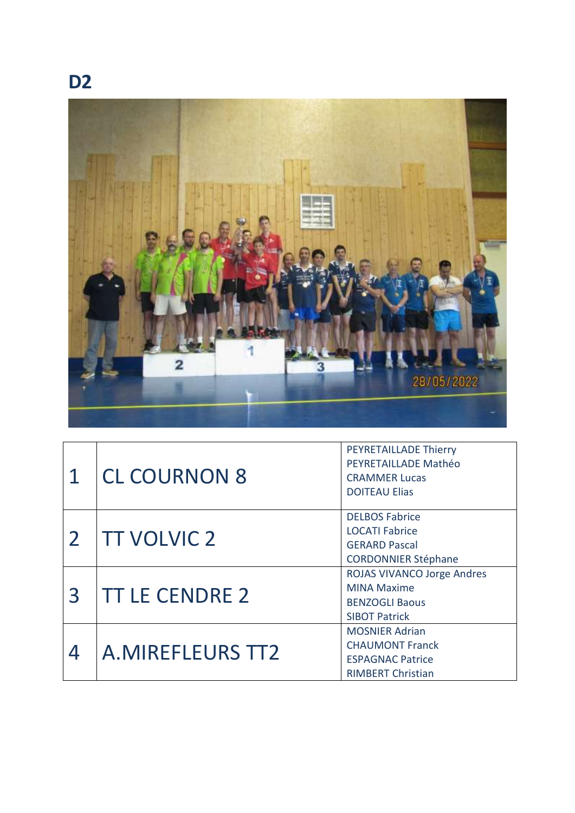



| 1 | <b>CL COURNON 8</b>     | PEYRETAILLADE Thierry<br>PEYRETAILLADE Mathéo<br><b>CRAMMER Lucas</b><br><b>DOITEAU Elias</b>            |
|---|-------------------------|----------------------------------------------------------------------------------------------------------|
|   | <b>TT VOLVIC 2</b>      | <b>DELBOS Fabrice</b><br><b>LOCATI Fabrice</b><br><b>GERARD Pascal</b><br><b>CORDONNIER Stéphane</b>     |
| 3 | <b>TT LE CENDRE 2</b>   | <b>ROJAS VIVANCO Jorge Andres</b><br><b>MINA Maxime</b><br><b>BENZOGLI Baous</b><br><b>SIBOT Patrick</b> |
|   | <b>A.MIREFLEURS TT2</b> | <b>MOSNIER Adrian</b><br><b>CHAUMONT Franck</b><br><b>ESPAGNAC Patrice</b><br><b>RIMBERT Christian</b>   |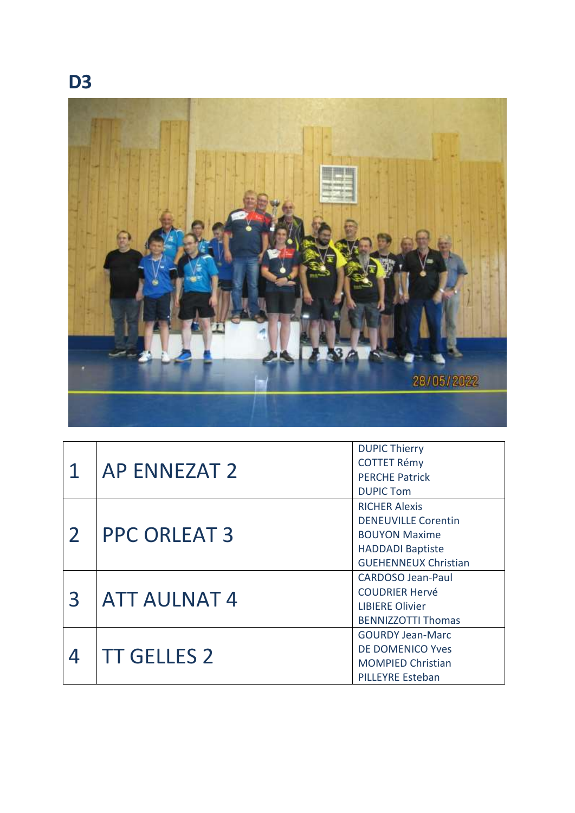

|                | <b>AP ENNEZAT 2</b> | <b>DUPIC Thierry</b>        |
|----------------|---------------------|-----------------------------|
| 1              |                     | <b>COTTET Rémy</b>          |
|                |                     | <b>PERCHE Patrick</b>       |
|                |                     | <b>DUPIC Tom</b>            |
| $\overline{2}$ | <b>PPC ORLEAT 3</b> | <b>RICHER Alexis</b>        |
|                |                     | <b>DENEUVILLE Corentin</b>  |
|                |                     | <b>BOUYON Maxime</b>        |
|                |                     | <b>HADDADI Baptiste</b>     |
|                |                     | <b>GUEHENNEUX Christian</b> |
| $\mathbf{R}$   | <b>ATT AULNAT 4</b> | <b>CARDOSO Jean-Paul</b>    |
|                |                     | <b>COUDRIER Hervé</b>       |
|                |                     | <b>LIBIERE Olivier</b>      |
|                |                     | <b>BENNIZZOTTI Thomas</b>   |
|                | <b>TT GELLES 2</b>  | <b>GOURDY Jean-Marc</b>     |
|                |                     | <b>DE DOMENICO Yves</b>     |
|                |                     | <b>MOMPIED Christian</b>    |
|                |                     | <b>PILLEYRE Esteban</b>     |

## **D3**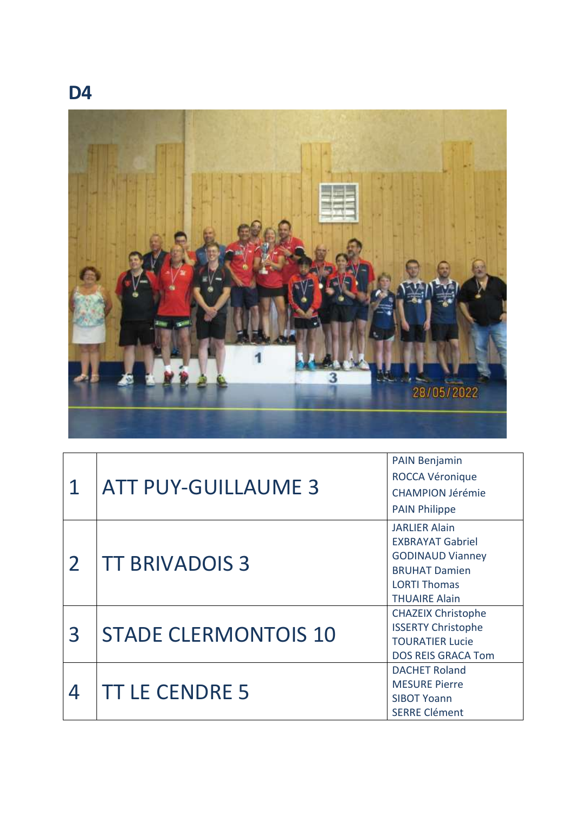



|                | <b>ATT PUY-GUILLAUME 3</b>  | <b>PAIN Benjamin</b>      |
|----------------|-----------------------------|---------------------------|
|                |                             | <b>ROCCA Véronique</b>    |
|                |                             | <b>CHAMPION Jérémie</b>   |
|                |                             | <b>PAIN Philippe</b>      |
| $\overline{2}$ | <b>TT BRIVADOIS 3</b>       | <b>JARLIER Alain</b>      |
|                |                             | <b>EXBRAYAT Gabriel</b>   |
|                |                             | <b>GODINAUD Vianney</b>   |
|                |                             | <b>BRUHAT Damien</b>      |
|                |                             | <b>LORTI Thomas</b>       |
|                |                             | <b>THUAIRE Alain</b>      |
| $\overline{3}$ | <b>STADE CLERMONTOIS 10</b> | <b>CHAZEIX Christophe</b> |
|                |                             | <b>ISSERTY Christophe</b> |
|                |                             | <b>TOURATIER Lucie</b>    |
|                |                             | <b>DOS REIS GRACA Tom</b> |
| 4              | <b>TT LE CENDRE 5</b>       | <b>DACHET Roland</b>      |
|                |                             | <b>MESURE Pierre</b>      |
|                |                             | <b>SIBOT Yoann</b>        |
|                |                             | <b>SERRE Clément</b>      |